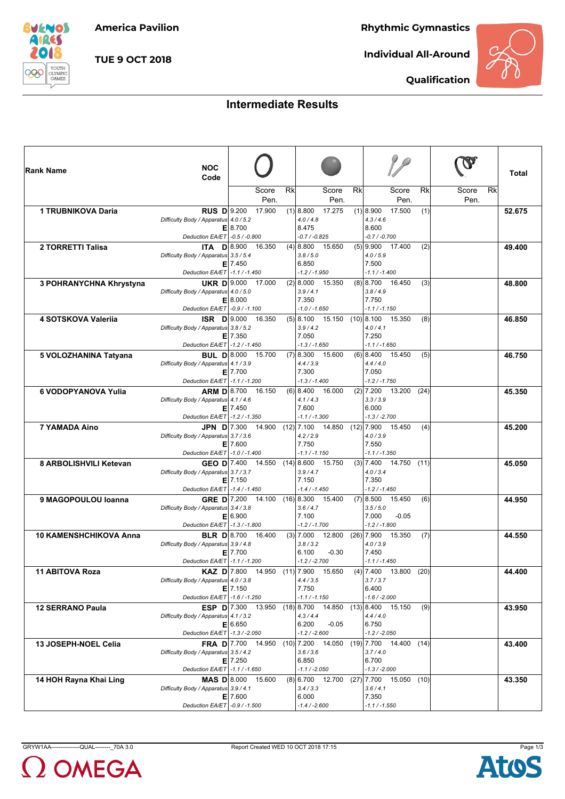**America Pavilion**

**Rhythmic Gymnastics**

*BUENOS* **AIRES** ſ. YOUTH<br>OLYMPIC<br>GAMES

**TUE 9 OCT 2018**

**Individual All-Around**



**Qualification**

## **Intermediate Results**

| <b>Rank Name</b>              | <b>NOC</b><br>Code                                             |                             |    |                                           |           |                                              |                           | Total  |
|-------------------------------|----------------------------------------------------------------|-----------------------------|----|-------------------------------------------|-----------|----------------------------------------------|---------------------------|--------|
|                               |                                                                | Score<br>Pen.               | Rk | Score<br>Pen.                             | <b>Rk</b> | Score<br>Pen.                                | Rk<br>Rk<br>Score<br>Pen. |        |
| <b>1 TRUBNIKOVA Daria</b>     | <b>RUS</b> $D 9.200$                                           | 17.900                      |    | $(1)$ 8.800<br>17.275                     |           | $(1)$   8.900<br>17.500                      | (1)                       | 52.675 |
|                               | Difficulty Body / Apparatus 4.0 / 5.2                          |                             |    | 4.0 / 4.8                                 |           | 4.3/4.6                                      |                           |        |
|                               | Deduction EA/ET - 0.5 / -0.800                                 | E 8.700                     |    | 8.475<br>$-0.7 / -0.825$                  |           | 8.600<br>$-0.7 / -0.700$                     |                           |        |
| 2 TORRETTI Talisa             | <b>ITA D</b> 8.900                                             | 16.350                      |    | $(4)$ 8.800<br>15.650                     |           | $(5)$   9.900<br>17.400                      | (2)                       | 49.400 |
|                               | Difficulty Body / Apparatus 3.5 / 5.4                          | $E$ 7.450                   |    | 3.8/5.0<br>6.850                          |           | 4.0 / 5.9<br>7.500                           |                           |        |
|                               | Deduction EA/ET -1.1 / -1.450                                  |                             |    | $-1.2 / -1.950$                           |           | $-1.1 / -1.400$                              |                           |        |
| 3 POHRANYCHNA Khrystyna       | <b>UKR D</b> 9.000                                             | 17.000                      |    | $(2)$ 8.000 15.350                        |           | $(8)$ 8.700<br>16.450                        | (3)                       | 48.800 |
|                               | Difficulty Body / Apparatus 4.0 / 5.0                          | E 8.000                     |    | 3.9/4.1<br>7.350                          |           | 3.8/4.9<br>7.750                             |                           |        |
|                               | Deduction EA/ET - 0.9 / -1.100                                 |                             |    | $-1.0 / -1.650$                           |           | $-1.1 / -1.150$                              |                           |        |
| 4 SOTSKOVA Valerija           | $ISR$ $D 9.000$                                                | 16.350                      |    | $(5)$ 8.100<br>15.150                     |           | $(10)$ 8.100<br>15.350                       | (8)                       | 46.850 |
|                               | Difficulty Body / Apparatus 3.8 / 5.2                          | $E$   7.350                 |    | 3.9/4.2<br>7.050                          |           | 4.0 / 4.1<br>7.250                           |                           |        |
|                               | Deduction EA/ET -1.2 / -1.450                                  |                             |    | $-1.3 / -1.650$                           |           | $-1.1 / -1.650$                              |                           |        |
| 5 VOLOZHANINA Tatyana         | <b>BUL D</b> 8.000                                             | 15.700                      |    | $(7)$ 8.300<br>15.600                     |           | $(6)$   8.400<br>15.450                      | (5)                       | 46.750 |
|                               | Difficulty Body / Apparatus 4.1 / 3.9                          | $E$   7.700                 |    | 4.4/3.9<br>7.300                          |           | 4.4/4.0<br>7.050                             |                           |        |
|                               | Deduction EA/ET -1.1 / -1.200                                  |                             |    | $-1.3 / -1.400$                           |           | $-1.2 / -1.750$                              |                           |        |
| 6 VODOPYANOVA Yulia           | <b>ARM D</b> 8.700                                             | 16.150                      |    | $(6)$ 8.400<br>16.000<br>4.1 / 4.3        |           | $(2)$ 7.200<br>13.200<br>(24)<br>3.3 / 3.9   |                           | 45.350 |
|                               | Difficulty Body / Apparatus 4.1 / 4.6                          | $E$   7.450                 |    | 7.600                                     |           | 6.000                                        |                           |        |
|                               | Deduction EA/ET -1.2 / -1.350                                  |                             |    | $-1.1 / -1.300$                           |           | $-1.3 / -2.700$                              |                           |        |
| <b>7 YAMADA Aino</b>          | JPN $D$ 7.300<br>Difficulty Body / Apparatus 3.7 / 3.6         | 14.900                      |    | $(12)$ 7.100<br>14.850<br>4.2 / 2.9       |           | $(12)$ 7.900<br>15.450<br>4.0 / 3.9          | (4)                       | 45.200 |
|                               |                                                                | $E$   7.600                 |    | 7.750                                     |           | 7.550                                        |                           |        |
|                               | Deduction EA/ET   -1.0 / -1.400                                |                             |    | $-1.1 / -1.150$                           |           | $-1.1 / -1.350$                              |                           |        |
| 8 ARBOLISHVILI Ketevan        | <b>GEO D</b> $7.400$<br>Difficulty Body / Apparatus 3.7 / 3.7  | 14.550                      |    | $(14)$ 8.600<br>15.750<br>3.9/4.7         |           | $(3)$ 7.400<br>14.750<br>(11)<br>4.0 / 3.4   |                           | 45.050 |
|                               |                                                                | $E$   7.150                 |    | 7.150                                     |           | 7.350                                        |                           |        |
|                               | Deduction EA/ET -1.4 / -1.450                                  |                             |    | $-1.4 / -1.450$                           |           | $-1.2 / -1.450$                              |                           |        |
| 9 MAGOPOULOU Ioanna           | <b>GRE D</b> $ 7.200$<br>Difficulty Body / Apparatus 3.4 / 3.8 | 14.100                      |    | $(16)$   8.300 15.400<br>3.6/4.7          |           | $(7)$ 8.500<br>15.450<br>3.5/5.0             | (6)                       | 44.950 |
|                               |                                                                | E 6.900                     |    | 7.100                                     |           | $-0.05$<br>7.000                             |                           |        |
| <b>10 KAMENSHCHIKOVA Anna</b> | Deduction EA/ET   -1.3 / -1.800                                | <b>BLR D</b> 8.700 16.400   |    | $-1.2 / -1.700$<br>$(3)$ 7.000<br>12.800  |           | $-1.2 / -1.800$<br>$(26)$ 7.900<br>15.350    | (7)                       | 44.550 |
|                               | Difficulty Body / Apparatus 3.9 / 4.8                          |                             |    | 3.8 / 3.2                                 |           | 4.0 / 3.9                                    |                           |        |
|                               |                                                                | $E$   7.700                 |    | 6.100<br>$-0.30$                          |           | 7.450<br>$-1.1 / -1.450$                     |                           |        |
| 11 ABITOVA Roza               | Deduction EA/ET -1.1 / -1.200<br>KAZ $D$ 7.800                 | 14.950                      |    | $-1.2 / -2.700$<br>$(11)$ 7.900<br>15.650 |           | (20)<br>$(4)$   7.400<br>13.800              |                           | 44.400 |
|                               | Difficulty Body / Apparatus 4.0 / 3.8                          |                             |    | 4.4/3.5                                   |           | 3.7/3.7                                      |                           |        |
|                               | Deduction EA/ET -1.6 / -1.250                                  | $E$   7.150                 |    | 7.750<br>$-1.1 / -1.150$                  |           | 6.400<br>$-1.6 / -2.000$                     |                           |        |
| <b>12 SERRANO Paula</b>       |                                                                | <b>ESP D</b> $7.300$ 13.950 |    |                                           |           | $(18)$   8.700  14.850  (13)  8.400  15.150  | (9)                       | 43.950 |
|                               | Difficulty Body / Apparatus 4.1 / 3.2                          |                             |    | 4.3/4.4                                   |           | 4.4/4.0                                      |                           |        |
|                               | Deduction EA/ET -1.3 / -2.050                                  | E 6.650                     |    | 6.200<br>$-0.05$<br>$-1.2 / -2.600$       |           | 6.750<br>$-1.2 / -2.050$                     |                           |        |
| 13 JOSEPH-NOEL Celia          |                                                                | <b>FRA D</b> 7.700 14.950   |    |                                           |           | $(10)$  7.200 14.050 (19) 7.700 14.400 (14)  |                           | 43.400 |
|                               | Difficulty Body / Apparatus 3.5 / 4.2                          | $E$   7.250                 |    | 3.6 / 3.6<br>6.850                        |           | 3.7/4.0<br>6.700                             |                           |        |
|                               | Deduction EA/ET -1.1 / -1.650                                  |                             |    | $-1.1 / -2.050$                           |           | $-1.3 / -2.000$                              |                           |        |
| 14 HOH Rayna Khai Ling        |                                                                | MAS D 8.000 15.600          |    |                                           |           | $(8)$ 6.700 12.700 (27) 7.700 15.050<br>(10) |                           | 43.350 |
|                               | Difficulty Body / Apparatus 3.9 / 4.1                          | $E$   7.600                 |    | 3.4 / 3.3<br>6.000                        |           | 3.6 / 4.1<br>7.350                           |                           |        |
|                               | Deduction EA/ET -0.9 / -1.500                                  |                             |    | $-1.4 / -2.600$                           |           | $-1.1 / -1.550$                              |                           |        |





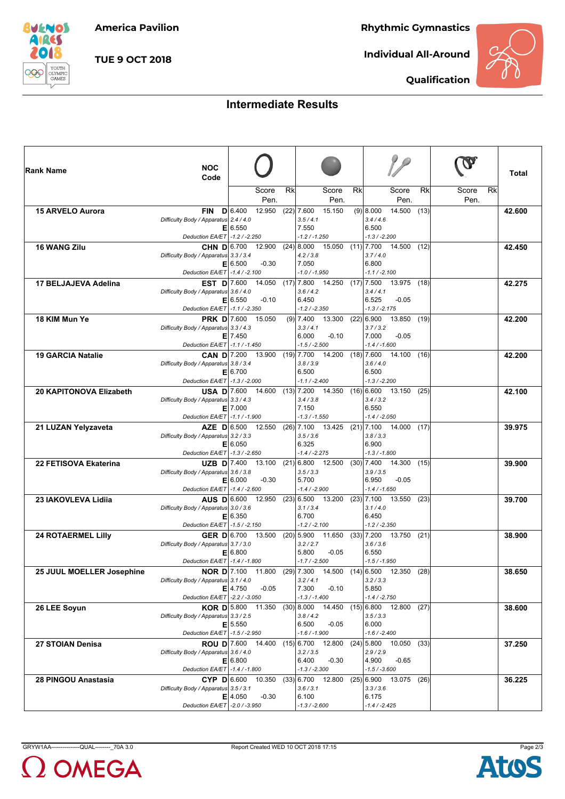**America Pavilion**

**Rhythmic Gymnastics**

*BUENOS* **AIRES** ſ. YOUTH<br>OLYMPIC<br>GAMES

**TUE 9 OCT 2018**

**Individual All-Around**



**Qualification**

## **Intermediate Results**

| <b>Rank Name</b>               | <b>NOC</b><br>Code                                          |                                      |    |                                                      |    |                                                                    |                           | Total  |
|--------------------------------|-------------------------------------------------------------|--------------------------------------|----|------------------------------------------------------|----|--------------------------------------------------------------------|---------------------------|--------|
|                                |                                                             | Score<br>Pen.                        | Rk | Score<br>Pen.                                        | Rk | Score<br>Pen.                                                      | Rk<br>Rk<br>Score<br>Pen. |        |
| 15 ARVELO Aurora               | <b>FIN</b>                                                  | 12.950<br>D 6.400                    |    | $(22)$ 7.600<br>15.150                               |    | $(9)$   8.000<br>14.500<br>(13)                                    |                           | 42.600 |
|                                | Difficulty Body / Apparatus 2.4 / 4.0                       |                                      |    | 3.5/4.1                                              |    | 3.4/4.6                                                            |                           |        |
|                                | Deduction EA/ET -1.2 / -2.250                               | E 6.550                              |    | 7.550<br>$-1.2 / -1.250$                             |    | 6.500<br>$-1.3 / -2.200$                                           |                           |        |
| <b>16 WANG Zilu</b>            | CHN D 6.700                                                 | 12.900                               |    | $(24)$ 8.000<br>15.050                               |    | 14.500<br>$(11)$ 7.700<br>(12)                                     |                           | 42.450 |
|                                | Difficulty Body / Apparatus 3.3 / 3.4                       | E 6.500<br>$-0.30$                   |    | 4.2 / 3.8<br>7.050                                   |    | 3.7/4.0<br>6.800                                                   |                           |        |
|                                | Deduction EA/ET -1.4 / -2.100                               |                                      |    | $-1.0 / -1.950$                                      |    | $-1.1 / -2.100$                                                    |                           |        |
| 17 BELJAJEVA Adelina           | <b>EST D</b> 7.600                                          | 14.050                               |    | $(17)$  7.800 14.250 (17) 7.500                      |    | 13.975 (18)                                                        |                           | 42.275 |
|                                | Difficulty Body / Apparatus 3.6 / 4.0                       | E 6.550<br>$-0.10$                   |    | 3.6 / 4.2<br>6.450                                   |    | 3.4/4.1<br>6.525<br>$-0.05$                                        |                           |        |
|                                | Deduction EA/ET   -1.1 / -2.350                             |                                      |    | $-1.2 / -2.350$                                      |    | $-1.3 / -2.175$                                                    |                           |        |
| 18 KIM Mun Ye                  | <b>PRK D</b> $7.600$                                        | 15.050                               |    | $(9)$ 7.400<br>13.300                                |    | $(22)$ 6.900<br>13.850<br>(19)                                     |                           | 42.200 |
|                                | Difficulty Body / Apparatus 3.3 / 4.3                       | $E$   7.450                          |    | 3.3/4.1<br>6.000<br>$-0.10$                          |    | 3.7 / 3.2<br>$-0.05$<br>7.000                                      |                           |        |
|                                | Deduction EA/ET   -1.1 / -1.450                             |                                      |    | $-1.5 / -2.500$                                      |    | $-1.4 / -1.600$                                                    |                           |        |
| <b>19 GARCIA Natalie</b>       |                                                             | <b>CAN D</b> $7.200$ 13.900          |    | $(19)$ 7.700<br>14.200                               |    | $(18)$ 7.600<br>14.100<br>(16)                                     |                           | 42.200 |
|                                | Difficulty Body / Apparatus 3.8 / 3.4                       | E 6.700                              |    | 3.8 / 3.9<br>6.500                                   |    | 3.6 / 4.0<br>6.500                                                 |                           |        |
|                                | Deduction EA/ET -1.3 / -2.000                               |                                      |    | $-1.1 / -2.400$                                      |    | $-1.3 / -2.200$                                                    |                           |        |
| <b>20 KAPITONOVA Elizabeth</b> |                                                             | <b>USA D</b> 7.600 14.600 (13) 7.200 |    |                                                      |    | 14.350 (16) 6.600 13.150<br>(25)                                   |                           | 42.100 |
|                                | Difficulty Body / Apparatus 3.3 / 4.3                       | $E$   7.000                          |    | 3.4 / 3.8<br>7.150                                   |    | 3.4 / 3.2<br>6.550                                                 |                           |        |
|                                | Deduction EA/ET -1.1 / -1.900                               |                                      |    | $-1.3 / -1.550$                                      |    | $-1.4 / -2.050$                                                    |                           |        |
| 21 LUZAN Yelyzaveta            | Difficulty Body / Apparatus 3.2 / 3.3                       | AZE $D 6.500$ 12.550                 |    | $(26)$ 7.100<br>13.425<br>3.5 / 3.6                  |    | $(21)$ 7.100<br>14.000<br>(17)<br>3.8 / 3.3                        |                           | 39.975 |
|                                |                                                             | E 6.050                              |    | 6.325                                                |    | 6.900                                                              |                           |        |
|                                | Deduction EA/ET -1.3 / -2.650                               |                                      |    | $-1.4/ -2.275$                                       |    | $-1.3 / -1.800$                                                    |                           |        |
| 22 FETISOVA Ekaterina          | UZB $D$ 7.400<br>Difficulty Body / Apparatus 3.6 / 3.8      | 13.100                               |    | $(21)$ 6.800 12.500<br>3.5 / 3.3                     |    | $(30)$ 7.400<br>14.300<br>(15)<br>3.9 / 3.5                        |                           | 39.900 |
|                                |                                                             | E 6.000<br>$-0.30$                   |    | 5.700                                                |    | $-0.05$<br>6.950                                                   |                           |        |
|                                | Deduction EA/ET -1.4 / -2.600                               |                                      |    | $-1.4 / -2.900$                                      |    | $-1.4 / -1.650$                                                    |                           |        |
| 23 IAKOVLEVA Lidija            | <b>AUS D</b> 6.600<br>Difficulty Body / Apparatus 3.0 / 3.6 | 12.950                               |    | $(23)$ 6.500 13.200<br>3.1 / 3.4                     |    | $(23)$ 7.100<br>13.550<br>(23)<br>3.1 / 4.0                        |                           | 39.700 |
|                                |                                                             | E 6.350                              |    | 6.700                                                |    | 6.450                                                              |                           |        |
|                                | Deduction EA/ET   -1.5 / -2.150                             | GER D 6.700 13.500                   |    | $-1.2 / -2.100$                                      |    | $-1.2 / -2.350$                                                    |                           |        |
| <b>24 ROTAERMEL Lilly</b>      | Difficulty Body / Apparatus 3.7 / 3.0                       |                                      |    | $(20)$ 5.900 11.650 $(33)$ 7.200 13.750<br>3.2 / 2.7 |    | (21)<br>3.6 / 3.6                                                  |                           | 38.900 |
|                                |                                                             | E 6.800                              |    | 5.800<br>$-0.05$                                     |    | 6.550                                                              |                           |        |
| 25 JUUL MOELLER Josephine      | Deduction EA/ET -1.4 / -1.800<br>NOR D $7.100$              | 11.800                               |    | $-1.7 / -2.500$<br>$(29)$ 7.300<br>14.500            |    | $-1.5 / -1.950$<br>$(14)$ 6.500 12.350                             | (28)                      | 38.650 |
|                                | Difficulty Body / Apparatus 3.1 / 4.0                       |                                      |    | 3.2 / 4.1                                            |    | 3.2 / 3.3                                                          |                           |        |
|                                | Deduction EA/ET - 2.2 / -3.050                              | $E$ 4.750<br>$-0.05$                 |    | 7.300<br>$-0.10$<br>$-1.3 / -1.400$                  |    | 5.850<br>$-1.4 / -2.750$                                           |                           |        |
| 26 LEE Soyun                   |                                                             |                                      |    |                                                      |    | <b>KOR D</b> 5.800 11.350 (30) 8.000 14.450 (15) 6.800 12.800 (27) |                           | 38.600 |
|                                | Difficulty Body / Apparatus 3.3 / 2.5                       |                                      |    | 3.8/4.2                                              |    | 3.5 / 3.3                                                          |                           |        |
|                                | Deduction EA/ET -1.5 / -2.950                               | $E$ 5.550                            |    | 6.500<br>$-0.05$<br>$-1.6 / -1.900$                  |    | 6.000<br>$-1.6 / -2.400$                                           |                           |        |
| 27 STOIAN Denisa               |                                                             |                                      |    |                                                      |    | <b>ROU D</b> 7.600 14.400 (15) 6.700 12.800 (24) 5.800 10.050 (33) |                           | 37.250 |
|                                | Difficulty Body / Apparatus 3.6 / 4.0                       |                                      |    | 3.2 / 3.5<br>$-0.30$                                 |    | 2.9/2.9                                                            |                           |        |
|                                | Deduction EA/ET -1.4 / -1.800                               | E 6.800                              |    | 6.400<br>$-1.3 / -2.300$                             |    | 4.900<br>$-0.65$<br>$-1.5 / -3.600$                                |                           |        |
| 28 PINGOU Anastasia            |                                                             | $CYP$ D 6.600 10.350                 |    |                                                      |    | $(33)$ 6.700 12.800 (25) 6.900 13.075 (26)                         |                           | 36.225 |
|                                | Difficulty Body / Apparatus 3.5 / 3.1                       | $E$   4.050<br>$-0.30$               |    | 3.6 / 3.1<br>6.100                                   |    | 3.3 / 3.6<br>6.175                                                 |                           |        |
|                                | Deduction EA/ET - 2.0 / -3.950                              |                                      |    | $-1.3 / -2.600$                                      |    | $-1.4 / -2.425$                                                    |                           |        |